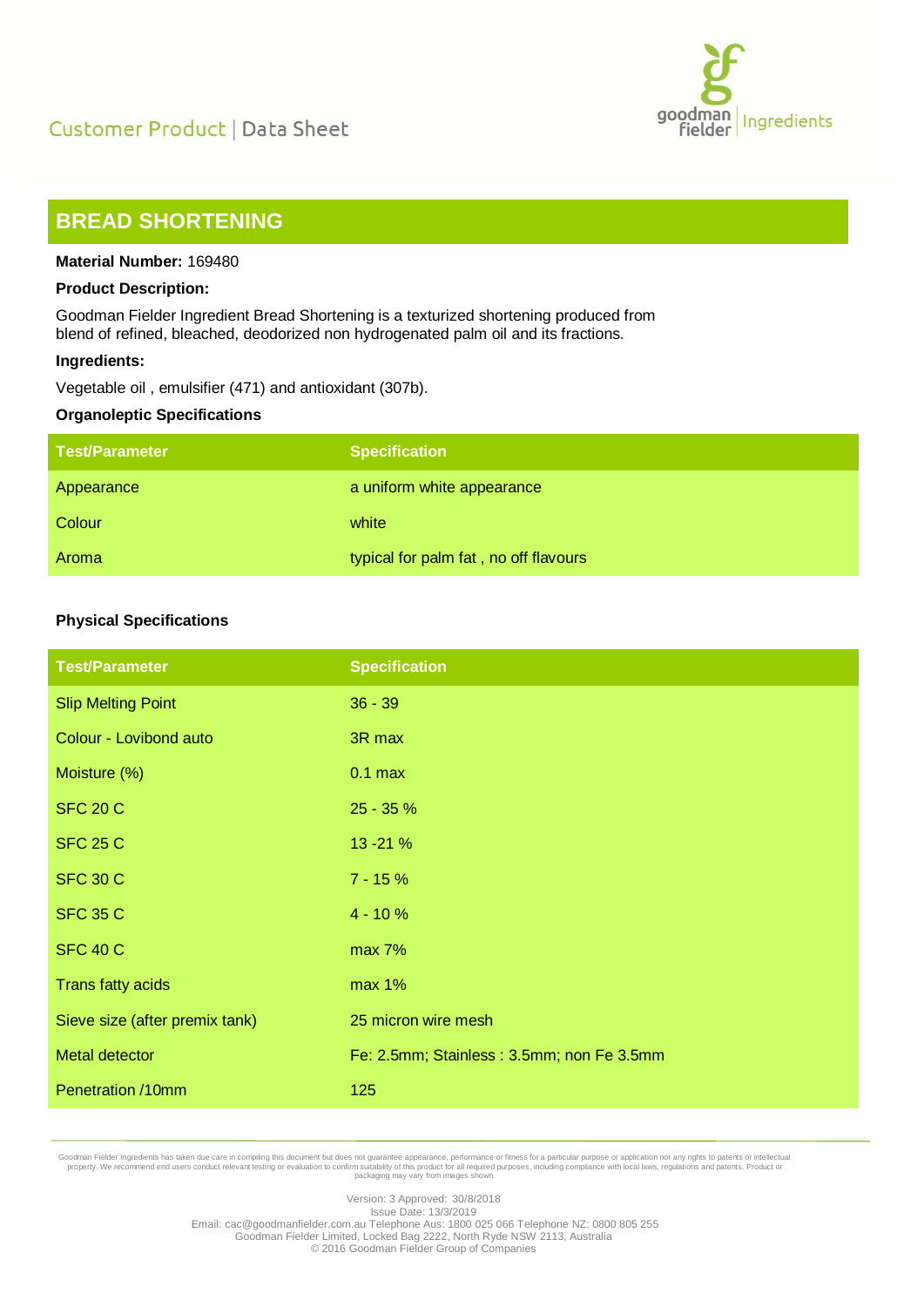



# **BREAD SHORTENING**

#### **Material Number:** 169480

#### **Product Description:**

Goodman Fielder Ingredient Bread Shortening is a texturized shortening produced from blend of refined, bleached, deodorized non hydrogenated palm oil and its fractions.

#### **Ingredients:**

Vegetable oil , emulsifier (471) and antioxidant (307b).

#### **Organoleptic Specifications**

| <b>Test/Parameter</b> | <b>Specification</b>                  |
|-----------------------|---------------------------------------|
| Appearance            | a uniform white appearance            |
| Colour                | white                                 |
| Aroma                 | typical for palm fat, no off flavours |

# **Physical Specifications**

| <b>Test/Parameter</b>          | <b>Specification</b>                      |
|--------------------------------|-------------------------------------------|
| <b>Slip Melting Point</b>      | $36 - 39$                                 |
| Colour - Lovibond auto         | 3R max                                    |
| Moisture (%)                   | $0.1$ max                                 |
| <b>SFC 20 C</b>                | 25 - 35 %                                 |
| <b>SFC 25 C</b>                | 13 - 21 %                                 |
| <b>SFC 30 C</b>                | $7 - 15%$                                 |
| <b>SFC 35 C</b>                | $4 - 10%$                                 |
| <b>SFC 40 C</b>                | max 7%                                    |
| Trans fatty acids              | max 1%                                    |
| Sieve size (after premix tank) | 25 micron wire mesh                       |
| <b>Metal detector</b>          | Fe: 2.5mm; Stainless: 3.5mm; non Fe 3.5mm |
| Penetration /10mm              | 125                                       |

Goodman Fielder Ingredients has taken due care in compiling this document but does not guarantee appearance, performance or fitness for a particular purpose or application nor any rights to patents or intellectual property

Version: 3 Approved: 30/8/2018 Issue Date: 13/3/2019 Email: cac@goodmanfielder.com.au Telephone Aus: 1800 025 066 Telephone NZ: 0800 805 255 Goodman Fielder Limited, Locked Bag 2222, North Ryde NSW 2113, Australia © 2016 Goodman Fielder Group of Companies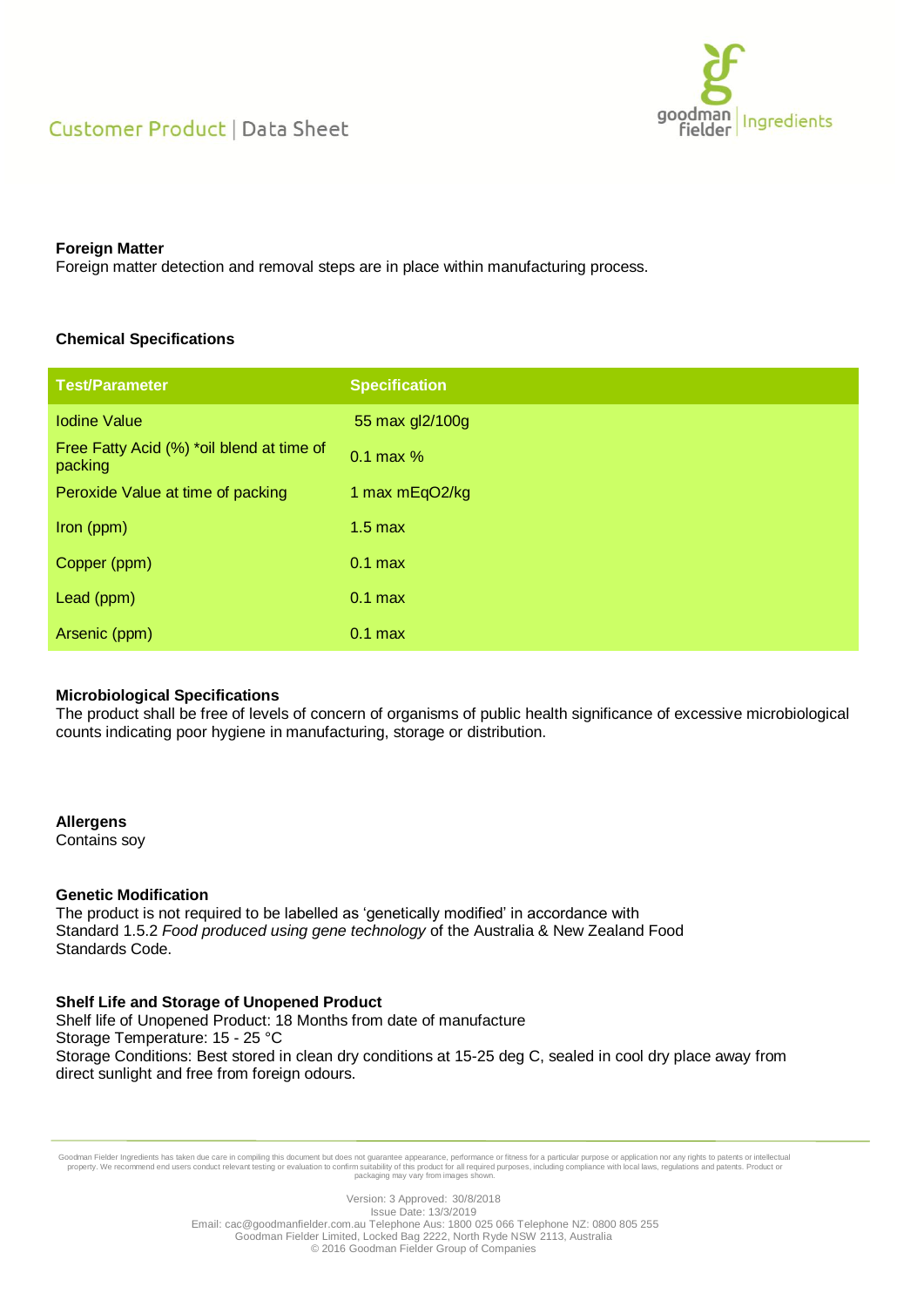# Customer Product | Data Sheet



#### **Foreign Matter**

Foreign matter detection and removal steps are in place within manufacturing process.

# **Chemical Specifications**

| <b>Test/Parameter</b>                                | <b>Specification</b> |
|------------------------------------------------------|----------------------|
| <b>Iodine Value</b>                                  | 55 max gl2/100g      |
| Free Fatty Acid (%) *oil blend at time of<br>packing | $0.1$ max $%$        |
| Peroxide Value at time of packing                    | 1 max mEqO2/kg       |
| lron (ppm)                                           | $1.5$ max            |
| Copper (ppm)                                         | $0.1$ max            |
| Lead (ppm)                                           | $0.1$ max            |
| Arsenic (ppm)                                        | $0.1$ max            |

# **Microbiological Specifications**

The product shall be free of levels of concern of organisms of public health significance of excessive microbiological counts indicating poor hygiene in manufacturing, storage or distribution.

# **Allergens**

Contains soy

#### **Genetic Modification**

The product is not required to be labelled as 'genetically modified' in accordance with Standard 1.5.2 *Food produced using gene technology* of the Australia & New Zealand Food Standards Code.

# **Shelf Life and Storage of Unopened Product**

Shelf life of Unopened Product: 18 Months from date of manufacture Storage Temperature: 15 - 25 °C Storage Conditions: Best stored in clean dry conditions at 15-25 deg C, sealed in cool dry place away from direct sunlight and free from foreign odours.

Goodman Fielder Ingredients has taken due care in compiling this document but does not guarantee appearance, performance or fitness for a particular purpose or application nor any rights to patents or intellectual property

Version: 3 Approved: 30/8/2018 Issue Date: 13/3/2019 Email: cac@goodmanfielder.com.au Telephone Aus: 1800 025 066 Telephone NZ: 0800 805 255 Goodman Fielder Limited, Locked Bag 2222, North Ryde NSW 2113, Australia © 2016 Goodman Fielder Group of Companies